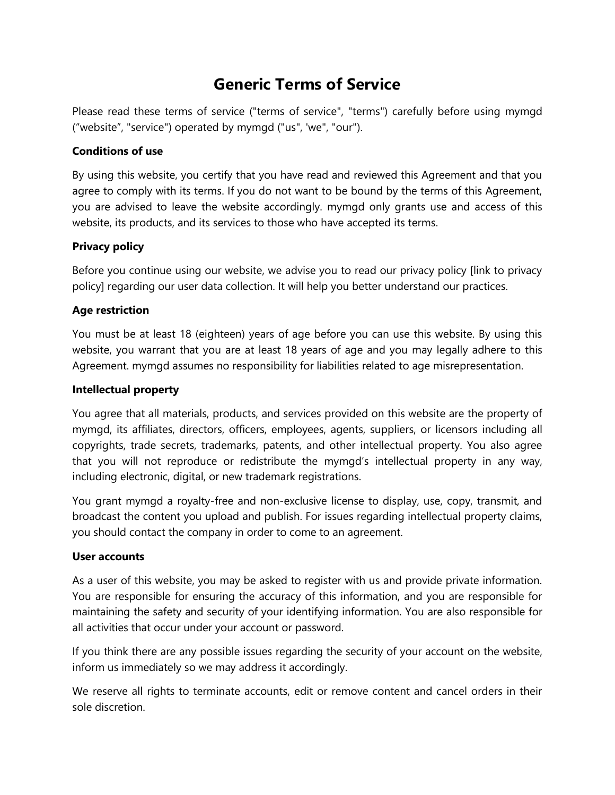# **Generic Terms of Service**

Please read these terms of service ("terms of service", "terms") carefully before using mymgd ("website", "service") operated by mymgd ("us", 'we", "our").

# **Conditions of use**

By using this website, you certify that you have read and reviewed this Agreement and that you agree to comply with its terms. If you do not want to be bound by the terms of this Agreement, you are advised to leave the website accordingly. mymgd only grants use and access of this website, its products, and its services to those who have accepted its terms.

# **Privacy policy**

Before you continue using our website, we advise you to read our privacy policy [link to privacy policy] regarding our user data collection. It will help you better understand our practices.

# **Age restriction**

You must be at least 18 (eighteen) years of age before you can use this website. By using this website, you warrant that you are at least 18 years of age and you may legally adhere to this Agreement. mymgd assumes no responsibility for liabilities related to age misrepresentation.

#### **Intellectual property**

You agree that all materials, products, and services provided on this website are the property of mymgd, its affiliates, directors, officers, employees, agents, suppliers, or licensors including all copyrights, trade secrets, trademarks, patents, and other intellectual property. You also agree that you will not reproduce or redistribute the mymgd's intellectual property in any way, including electronic, digital, or new trademark registrations.

You grant mymgd a royalty-free and non-exclusive license to display, use, copy, transmit, and broadcast the content you upload and publish. For issues regarding intellectual property claims, you should contact the company in order to come to an agreement.

#### **User accounts**

As a user of this website, you may be asked to register with us and provide private information. You are responsible for ensuring the accuracy of this information, and you are responsible for maintaining the safety and security of your identifying information. You are also responsible for all activities that occur under your account or password.

If you think there are any possible issues regarding the security of your account on the website, inform us immediately so we may address it accordingly.

We reserve all rights to terminate accounts, edit or remove content and cancel orders in their sole discretion.